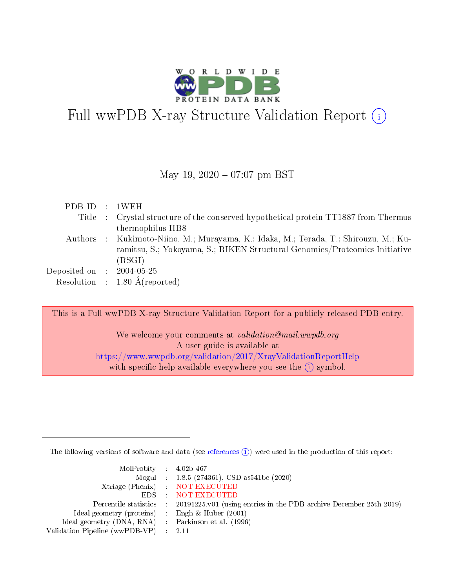

# Full wwPDB X-ray Structure Validation Report (i)

#### May 19,  $2020 - 07:07$  pm BST

| PDB ID : 1WEH               |                                                                                      |
|-----------------------------|--------------------------------------------------------------------------------------|
|                             | Title : Crystal structure of the conserved hypothetical protein TT1887 from Thermus  |
|                             | thermophilus HB8                                                                     |
|                             | Authors : Kukimoto-Niino, M.; Murayama, K.; Idaka, M.; Terada, T.; Shirouzu, M.; Ku- |
|                             | ramitsu, S.; Yokoyama, S.; RIKEN Structural Genomics/Proteomics Initiative           |
|                             | (RSGI)                                                                               |
| Deposited on : $2004-05-25$ |                                                                                      |
|                             | Resolution : $1.80 \text{ Å}$ (reported)                                             |

This is a Full wwPDB X-ray Structure Validation Report for a publicly released PDB entry.

We welcome your comments at validation@mail.wwpdb.org A user guide is available at <https://www.wwpdb.org/validation/2017/XrayValidationReportHelp> with specific help available everywhere you see the  $(i)$  symbol.

The following versions of software and data (see [references](https://www.wwpdb.org/validation/2017/XrayValidationReportHelp#references)  $(i)$ ) were used in the production of this report:

| $MolProbability$ 4.02b-467                          |                                                                                            |
|-----------------------------------------------------|--------------------------------------------------------------------------------------------|
|                                                     | Mogul : $1.8.5$ (274361), CSD as 541be (2020)                                              |
|                                                     | Xtriage (Phenix) NOT EXECUTED                                                              |
|                                                     | EDS NOT EXECUTED                                                                           |
|                                                     | Percentile statistics : 20191225.v01 (using entries in the PDB archive December 25th 2019) |
| Ideal geometry (proteins) : Engh $\&$ Huber (2001)  |                                                                                            |
| Ideal geometry (DNA, RNA) : Parkinson et al. (1996) |                                                                                            |
| Validation Pipeline (wwPDB-VP) : 2.11               |                                                                                            |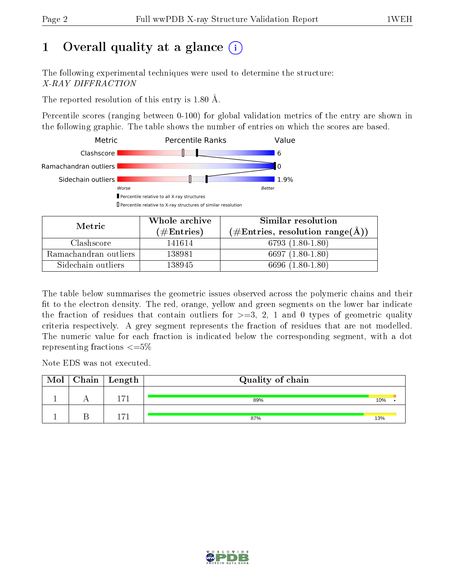## 1 [O](https://www.wwpdb.org/validation/2017/XrayValidationReportHelp#overall_quality)verall quality at a glance  $(i)$

The following experimental techniques were used to determine the structure: X-RAY DIFFRACTION

The reported resolution of this entry is 1.80 Å.

Percentile scores (ranging between 0-100) for global validation metrics of the entry are shown in the following graphic. The table shows the number of entries on which the scores are based.



| Metric                | Whole archive       | Similar resolution                                        |
|-----------------------|---------------------|-----------------------------------------------------------|
|                       | (# $\rm{Entries}$ ) | $(\#\text{Entries}, \text{resolution range}(\text{\AA}))$ |
| Clashscore            | 141614              | $6793(1.80-1.80)$                                         |
| Ramachandran outliers | 138981              | $6697(1.80-1.80)$                                         |
| Sidechain outliers    | 138945              | 6696 (1.80-1.80)                                          |

The table below summarises the geometric issues observed across the polymeric chains and their fit to the electron density. The red, orange, yellow and green segments on the lower bar indicate the fraction of residues that contain outliers for  $\geq=3$ , 2, 1 and 0 types of geometric quality criteria respectively. A grey segment represents the fraction of residues that are not modelled. The numeric value for each fraction is indicated below the corresponding segment, with a dot representing fractions  $\leq=5\%$ 

Note EDS was not executed.

| Mol | $\mid$ Chain $\mid$ Length | Quality of chain |     |
|-----|----------------------------|------------------|-----|
|     | $-71$                      | 89%              | 10% |
|     | $-71$                      | 87%              | 13% |

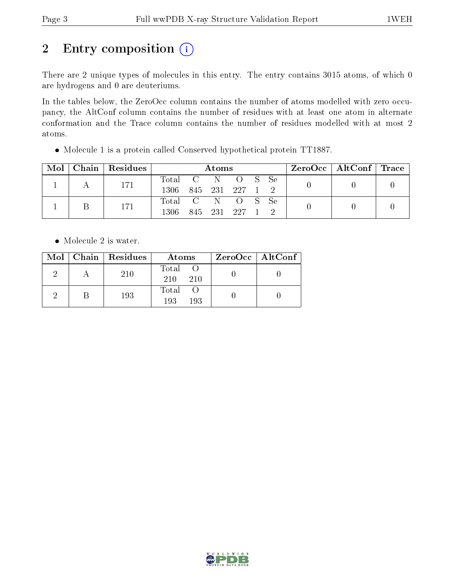# 2 Entry composition (i)

There are 2 unique types of molecules in this entry. The entry contains 3015 atoms, of which 0 are hydrogens and 0 are deuteriums.

In the tables below, the ZeroOcc column contains the number of atoms modelled with zero occupancy, the AltConf column contains the number of residues with at least one atom in alternate conformation and the Trace column contains the number of residues modelled with at most 2 atoms.

Molecule 1 is a protein called Conserved hypothetical protein TT1887.

| $\text{Mol}$ | Chain Residues | Atoms                                    |  |  |                 | $\text{ZeroOcc}$   AltConf   Trace |  |  |
|--------------|----------------|------------------------------------------|--|--|-----------------|------------------------------------|--|--|
|              | 171            | Total C N O S Se<br>1306 845 231 227 1 2 |  |  |                 |                                    |  |  |
|              | 171            | Total C N O S Se<br>1306                 |  |  | 845 231 227 1 2 |                                    |  |  |

• Molecule 2 is water.

|  | $Mol$   Chain   Residues | Atoms                 | $ZeroOcc \   \ AltConf \  $ |
|--|--------------------------|-----------------------|-----------------------------|
|  | 210                      | Total O<br>210<br>210 |                             |
|  | 193                      | Total O<br>193<br>193 |                             |

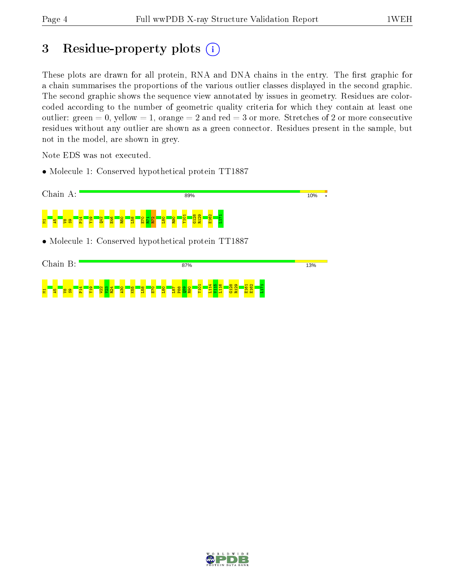### 3 Residue-property plots  $(i)$

These plots are drawn for all protein, RNA and DNA chains in the entry. The first graphic for a chain summarises the proportions of the various outlier classes displayed in the second graphic. The second graphic shows the sequence view annotated by issues in geometry. Residues are colorcoded according to the number of geometric quality criteria for which they contain at least one outlier: green  $= 0$ , yellow  $= 1$ , orange  $= 2$  and red  $= 3$  or more. Stretches of 2 or more consecutive residues without any outlier are shown as a green connector. Residues present in the sample, but not in the model, are shown in grey.

Note EDS was not executed.

• Molecule 1: Conserved hypothetical protein TT1887



| 1.32               |               |        |                   |                   |          |                |   | 87% |                                     |  |   |             |  |  | 13% |
|--------------------|---------------|--------|-------------------|-------------------|----------|----------------|---|-----|-------------------------------------|--|---|-------------|--|--|-----|
| 불<br>႙ၟ<br>ß,<br>æ | <b>R</b><br>굽 | ெ<br>로 | $\mathbf{\alpha}$ | Ю<br>$\mathbf{R}$ | $\infty$ | $\bullet$<br>ш | 0 |     | $\overline{\phantom{a}}$<br>$\circ$ |  | - | G<br>풉<br>≖ |  |  |     |

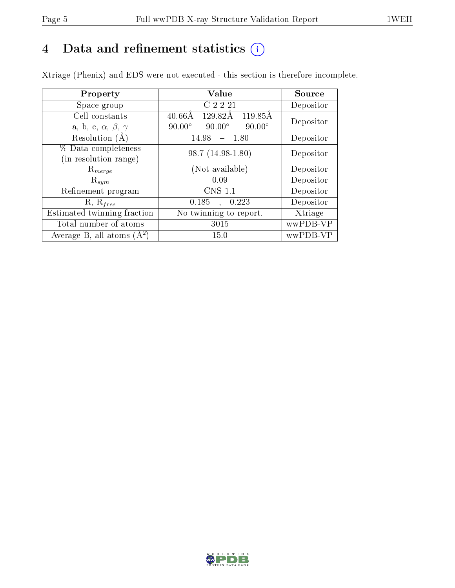### 4 Data and refinement statistics  $(i)$

Xtriage (Phenix) and EDS were not executed - this section is therefore incomplete.

| Property                               | Value                                           | Source    |  |
|----------------------------------------|-------------------------------------------------|-----------|--|
| Space group                            | C 2 2 21                                        | Depositor |  |
| Cell constants                         | 119.85Å<br>$40.66\text{\AA}$<br>129.82Å         | Depositor |  |
| a, b, c, $\alpha$ , $\beta$ , $\gamma$ | $90.00^\circ$<br>$90.00^\circ$<br>$90.00^\circ$ |           |  |
| Resolution (A)                         | 14.98<br>$-1.80$                                | Depositor |  |
| % Data completeness                    | 98.7 (14.98-1.80)                               | Depositor |  |
| in resolution range)                   |                                                 |           |  |
| $\mathrm{R}_{merge}$                   | (Not available)                                 | Depositor |  |
| $\mathrm{R}_{sym}$                     | 0.09                                            | Depositor |  |
| Refinement program                     | <b>CNS 1.1</b>                                  | Depositor |  |
| $R, R_{free}$                          | 0.185<br>0.223<br>$\ddot{\phantom{a}}$          | Depositor |  |
| Estimated twinning fraction            | No twinning to report.                          | Xtriage   |  |
| Total number of atoms                  | 3015                                            | wwPDB-VP  |  |
| Average B, all atoms $(A^2)$           | 15.0                                            | wwPDB-VP  |  |

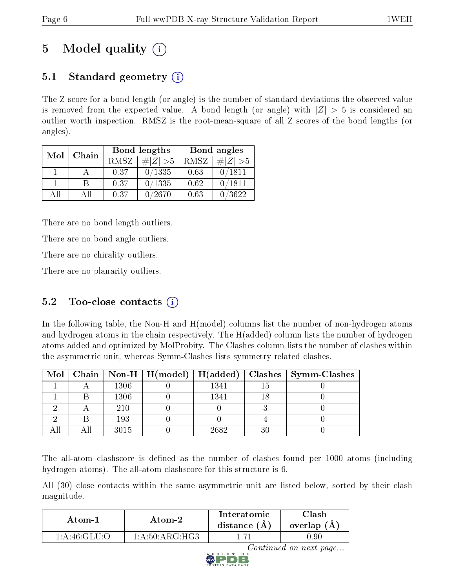## 5 Model quality  $(i)$

### 5.1 Standard geometry  $(i)$

The Z score for a bond length (or angle) is the number of standard deviations the observed value is removed from the expected value. A bond length (or angle) with  $|Z| > 5$  is considered an outlier worth inspection. RMSZ is the root-mean-square of all Z scores of the bond lengths (or angles).

| Mol | Chain |      | Bond lengths                 | Bond angles |             |  |  |
|-----|-------|------|------------------------------|-------------|-------------|--|--|
|     |       | RMSZ | $\vert \# \vert Z \vert > 5$ | RMSZ        | # $ Z  > 5$ |  |  |
|     |       | 0.37 | 0/1335                       | 0.63        | 0/1811      |  |  |
|     | В     | 0.37 | 0/1335                       | 0.62        | 0/1811      |  |  |
| AH  | Αll   | 0.37 | 0/2670                       | 0.63        | 0/3622      |  |  |

There are no bond length outliers.

There are no bond angle outliers.

There are no chirality outliers.

There are no planarity outliers.

### 5.2 Too-close contacts  $(i)$

In the following table, the Non-H and H(model) columns list the number of non-hydrogen atoms and hydrogen atoms in the chain respectively. The H(added) column lists the number of hydrogen atoms added and optimized by MolProbity. The Clashes column lists the number of clashes within the asymmetric unit, whereas Symm-Clashes lists symmetry related clashes.

|  |      |      |    | Mol   Chain   Non-H   H(model)   H(added)   Clashes   Symm-Clashes |
|--|------|------|----|--------------------------------------------------------------------|
|  | 1306 | 1341 |    |                                                                    |
|  | 1306 | 1341 |    |                                                                    |
|  | 210  |      |    |                                                                    |
|  | 193  |      |    |                                                                    |
|  | 3015 | 2682 | 30 |                                                                    |

The all-atom clashscore is defined as the number of clashes found per 1000 atoms (including hydrogen atoms). The all-atom clashscore for this structure is 6.

All (30) close contacts within the same asymmetric unit are listed below, sorted by their clash magnitude.

| Atom-1          | Atom-2                                         | Interatomic<br>distance $(A)$ | Clash<br>overlap (A) |
|-----------------|------------------------------------------------|-------------------------------|----------------------|
| $1:$ A:46:GLU:O | $1:\!A:\!50:\!ARG:\!H\overline{G}\overline{3}$ |                               | $0.90\,$             |

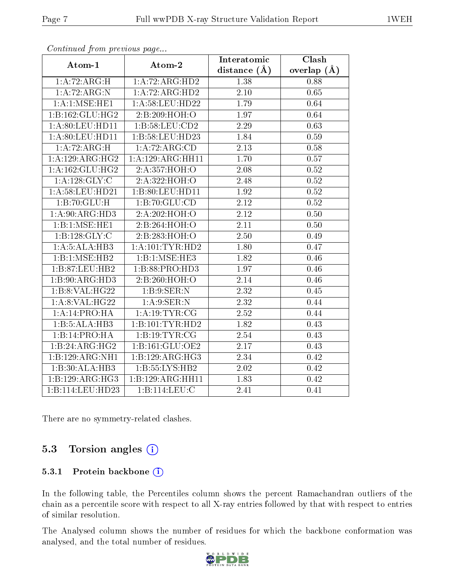|                    |                     | Interatomic       | Clash         |
|--------------------|---------------------|-------------------|---------------|
| Atom-1             | Atom-2              | distance $(A)$    | overlap $(A)$ |
| 1:A:72:ARG:H       | 1:A:72:ARG:HD2      | 1.38              | 0.88          |
| 1:A:72:ARG:N       | 1:A:72:ARG:HD2      | $\overline{2.10}$ | 0.65          |
| 1: A: 1: MSE: HE1  | 1: A:58: LEU: HD22  | 1.79              | 0.64          |
| 1:B:162:GLU:HG2    | 2:B:209:HOH:O       | 1.97              | 0.64          |
| 1: A:80: LEU: HD11 | 1: B:58:LEU:CD2     | 2.29              | 0.63          |
| 1: A:80: LEU: HD11 | 1:B:58:LEU:HD23     | 1.84              | 0.59          |
| 1:A:72:ARG:H       | 1:A:72:ARG:CD       | $\overline{2.13}$ | 0.58          |
| 1:A:129:ARG:HG2    | 1:A:129:ARG:HH11    | 1.70              | 0.57          |
| 1:A:162:GLU:HG2    | 2:A:357:HOH:O       | 2.08              | $0.52\,$      |
| 1: A: 128: GLY: C  | 2:A:322:HOH:O       | 2.48              | 0.52          |
| 1: A:58:LEU:HD21   | 1:B:80:LEU:HD11     | 1.92              | 0.52          |
| 1:B:70:GLU:H       | 1:B:70:GLU:CD       | 2.12              | 0.52          |
| 1:A:90:ARG:HD3     | 2:A:202:HOH:O       | 2.12              | $0.50\,$      |
| 1:B:1:MSE:HE1      | 2:B:264:HOH:O       | 2.11              | 0.50          |
| 1:B:128:GLY:C      | 2:B:283:HOH:O       | 2.50              | 0.49          |
| 1:A:5:ALA:HB3      | 1: A: 101: TYR: HD2 | 1.80              | 0.47          |
| 1:B:1:MSE:HB2      | 1:B:1:MSE:HE3       | 1.82              | 0.46          |
| 1:B:87:LEU:HB2     | 1:B:88:PRO:HD3      | 1.97              | 0.46          |
| 1:B:90:ARG:HD3     | 2:B:260:HOH:O       | 2.14              | 0.46          |
| 1: B: 8: VAL:HG22  | 1: B: 9: SER: N     | 2.32              | 0.45          |
| 1: A:8: VAL:HG22   | 1: A:9: SER: N      | $\overline{2.32}$ | 0.44          |
| 1:A:14:PRO:HA      | 1:A:19:TYR:CG       | 2.52              | 0.44          |
| 1:B:5:ALA:HB3      | 1:B:101:TYR:HD2     | 1.82              | 0.43          |
| 1:B:14:PRO:HA      | 1:B:19:TYR:CG       | 2.54              | 0.43          |
| 1:B:24:ARG:HG2     | 1:B:161:GLU:OE2     | 2.17              | 0.43          |
| 1:B:129:ARG:NH1    | 1:B:129:ARG:HG3     | 2.34              | 0.42          |
| 1:B:30:ALA:HB3     | 1:B:55:LYS:HB2      | 2.02              | 0.42          |
| 1:B:129:ARG:HG3    | 1:B:129:ARG:HH11    | 1.83              | 0.42          |
| 1:B:114:LEU:HD23   | 1:B:114:LEU:C       | 2.41              | 0.41          |

Continued from previous page...

There are no symmetry-related clashes.

#### 5.3 Torsion angles (i)

#### 5.3.1 Protein backbone (i)

In the following table, the Percentiles column shows the percent Ramachandran outliers of the chain as a percentile score with respect to all X-ray entries followed by that with respect to entries of similar resolution.

The Analysed column shows the number of residues for which the backbone conformation was analysed, and the total number of residues.

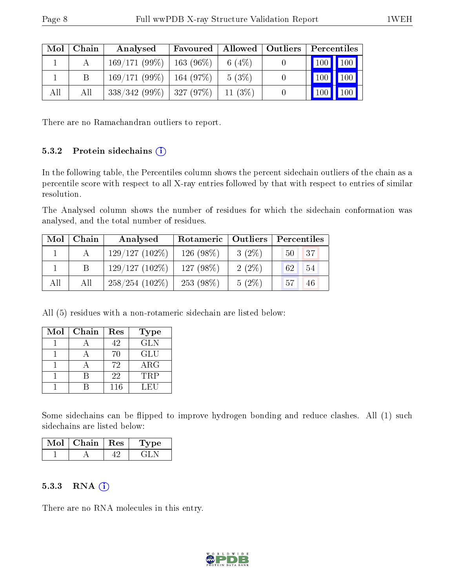| Mol | Chain | Analysed                     | Favoured |           | Allowed   Outliers   Percentiles |
|-----|-------|------------------------------|----------|-----------|----------------------------------|
|     |       | $169/171(99\%)$   163 (96\%) |          | 6 $(4\%)$ | 100 100                          |
|     |       | $169/171(99\%)$   164 (97\%) |          | $5(3\%)$  | 100<br>100                       |
| All | All   | $338/342(99\%)$   327 (97\%) |          | $11(3\%)$ | 100<br>100                       |

There are no Ramachandran outliers to report.

#### 5.3.2 Protein sidechains  $(i)$

In the following table, the Percentiles column shows the percent sidechain outliers of the chain as a percentile score with respect to all X-ray entries followed by that with respect to entries of similar resolution.

The Analysed column shows the number of residues for which the sidechain conformation was analysed, and the total number of residues.

| Mol | Chain | Analysed         | Rotameric   Outliers |          | Percentiles        |
|-----|-------|------------------|----------------------|----------|--------------------|
|     |       | $129/127(102\%)$ | 126 (98%)            | $3(2\%)$ | 37<br>$50^{\circ}$ |
|     | B     | $129/127(102\%)$ | 127(98%)             | $2(2\%)$ | 54<br>62           |
| All | All   | $258/254(102\%)$ | $253(98\%)$          | $5(2\%)$ | 57<br>46           |

All (5) residues with a non-rotameric sidechain are listed below:

| Mol | Chain | Res | <b>Type</b> |
|-----|-------|-----|-------------|
|     |       | 42  | <b>GLN</b>  |
|     |       | 70  | GLU         |
|     |       | 72  | $\rm{ARG}$  |
|     |       | 22  | <b>TRP</b>  |
|     |       | 116 | LEU         |

Some sidechains can be flipped to improve hydrogen bonding and reduce clashes. All (1) such sidechains are listed below:

| $Mol$   Chain   Res | 'Type |
|---------------------|-------|
|                     |       |

#### 5.3.3 RNA  $(i)$

There are no RNA molecules in this entry.

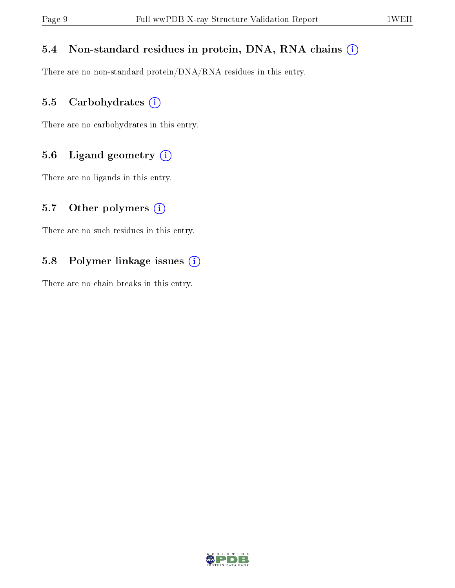#### 5.4 Non-standard residues in protein, DNA, RNA chains (i)

There are no non-standard protein/DNA/RNA residues in this entry.

#### 5.5 Carbohydrates (i)

There are no carbohydrates in this entry.

#### 5.6 Ligand geometry (i)

There are no ligands in this entry.

#### 5.7 [O](https://www.wwpdb.org/validation/2017/XrayValidationReportHelp#nonstandard_residues_and_ligands)ther polymers  $(i)$

There are no such residues in this entry.

#### 5.8 Polymer linkage issues (i)

There are no chain breaks in this entry.